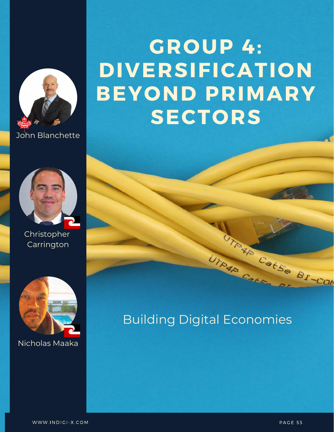

John Blanchette



Christopher Carrington



Nicholas Maaka

# **GROUP 4: DIVERSIFICATION BEYOND PRIMARY SECTORS**

### Building Digital Economies

UTRAIN Cape

TANAR CatSe BI-COM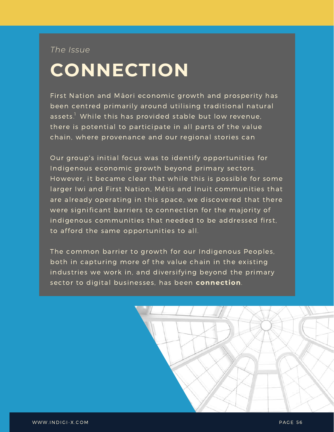*The Issue*

# **CONNECTION**

First Nation and Māori economic growth and prosperity has been centred primarily around utilising traditional natural assets. $^{\rm l}$  While this has provided stable but low revenue, there is potential to participate in all parts of the value chain, where provenance and our regional stories can

Our group's initial focus was to identify opportunities for Indigenous economic growth beyond primary sectors. However, it became clear that while this is possible for some larger Iwi and First Nation, Métis and Inuit communities that are already operating in this space, we discovered that there were significant barriers to connection for the majority of indigenous communities that needed to be addressed first, to afford the same opportunities to all.

The common barrier to growth for our Indigenous Peoples, both in capturing more of the value chain in the existing industries we work in, and diversifying beyond the primary sector to digital businesses, has been **connection**.

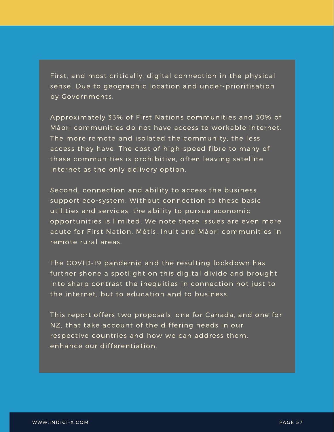First, and most critically, digital connection in the physical sense. Due to geographic location and under-prioritisation by Governments.

Approximately 33% of First Nations communities and 30% of Māori communities do not have access to workable internet. The more remote and isolated the community, the less access they have. The cost of high-speed fibre to many of these communities is prohibitive, often leaving satellite internet as the only delivery option.

Second, connection and ability to access the business support eco-system. Without connection to these basic utilities and services, the ability to pursue economic opportunities is limited. We note these issues are even more acute for First Nation, Métis, Inuit and Māori communities in remote rural areas.

The COVID-19 pandemic and the resulting lockdown has further shone a spotlight on this digital divide and brought into sharp contrast the inequities in connection not just to the internet, but to education and to business.

This report offers two proposals, one for Canada, and one for NZ, that take account of the differing needs in our respective countries and how we can address them. enhance our differentiation.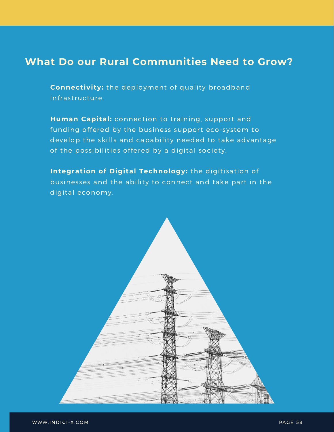### **What Do our Rural Communities Need to Grow?**

**Connectivity:** the deployment of quality broadband infrastructure.

Human Capital: connection to training, support and funding offered by the business support eco-system to develop the skills and capability needed to take advantage of the possibilities offered by a digital society.

**Integration of Digital Technology:** the digitisation of businesses and the ability to connect and take part in the digital economy.

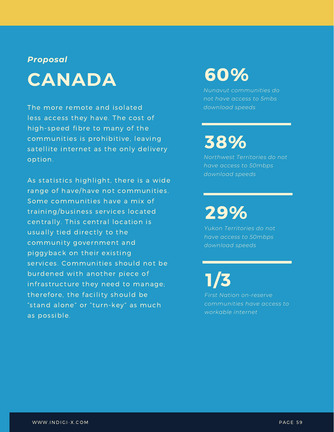#### *Proposal*

# **CANADA**

The more remote and isolated less access they have. The cost of high-speed fibre to many of the communities is prohibitive, leaving satellite internet as the only delivery op tion.

As statistics highlight, there is a wide range of have/have not communities. Some communities have a mix of training/business services located centrally. This central location is usually tied directly to the community government and piggyback on their existing services. Communities should not be burdened with another piece of infrastructure they need to manage; therefore, the facility should be "stand alone" or "turn-key" as much as possible.

## 60%

*Nunavut communities do not have access to 5mbs download speeds*

## 38%

*Northwest Territories do not have access to 50mbps download speeds*

## 29%

*Yukon Territories do not have access to 50mbps download speeds*

1/3 *First Nation on-reserve communities have access to workable internet*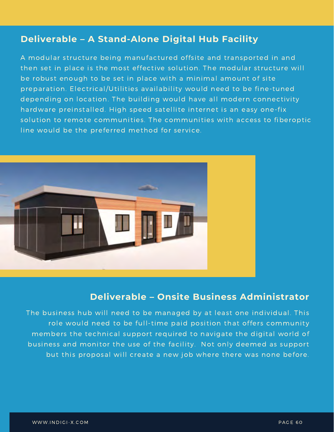#### **Deliverable – A Stand-Alone Digital Hub Facility**

A modular structure being manufactured offsite and transported in and then set in place is the most effective solution. The modular structure will be robust enough to be set in place with a minimal amount of site preparation. Electrical/Utilities availability would need to be fine-tuned depending on location. The building would have all modern connectivity hardware preinstalled. High speed satellite internet is an easy one-fix solution to remote communities. The communities with access to fiberoptic line would be the preferred method for service.



### **Deliverable – Onsite Business Administrator**

The business hub will need to be managed by at least one individual. This role would need to be full-time paid position that offers community members the technical support required to navigate the digital world of business and monitor the use of the facility. Not only deemed as support but this proposal will create a new job where there was none before.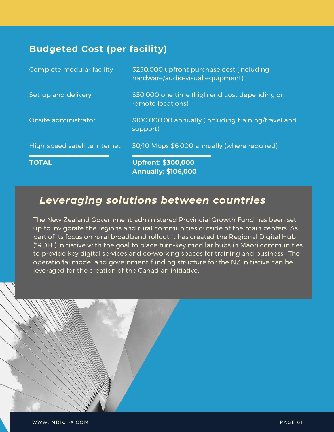#### **Budgeted Cost (per facility)**

| <b>TOTAL</b>                  | <b>Upfront: \$300,000</b><br><b>Annually: \$106,000</b>                        |
|-------------------------------|--------------------------------------------------------------------------------|
| High-speed satellite internet | 50/10 Mbps \$6,000 annually (where required)                                   |
| Onsite administrator          | \$100,000.00 annually (including training/travel and<br>support)               |
| Set-up and delivery           | \$50,000 one time (high end cost depending on<br>remote locations)             |
| Complete modular facility     | \$250,000 upfront purchase cost (including<br>hardware/audio-visual equipment) |

### *Leveraging solutions between countries*

The New Zealand Government-administered Provincial Growth Fund has been set up to invigorate the regions and rural communities outside of the main centers. As part of its focus on rural broadband rollout it has created the Regional Digital Hub ("RDH") initiative with the goal to place turn-key mod lar hubs in Māori communities to provide key digital services and co-working spaces for training and business. The operational model and government funding structure for the NZ initiative can be leveraged for the creation of the Canadian initiative.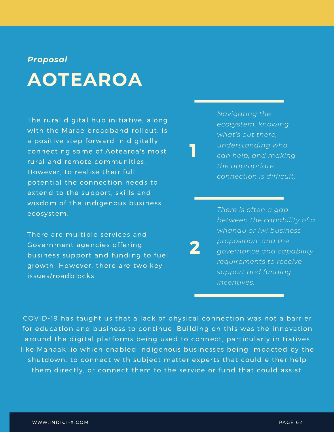#### *Proposal*

# **AOTEAROA**

The rural digital hub initiative, along with the Marae broadband rollout, is a positive step forward in digitally connecting some of Aotearoa's most rural and remote communities. However, to realise their full potential the connection needs to extend to the support, skills and wisdom of the indigenous business ecosystem.

There are multiple services and Government agencies offering business support and funding to fuel growth. However, there are two key issues/roadblocks:

*Navigating the ecosystem, knowing what's out there, understanding who can help, and making the appropriate connection is difficult.*

1

2

*There is often a gap between the capability of a whanau or Iwi business proposition, and the governance and capability requirements to receive support and funding incentives.*

COVID-19 has taught us that a lack of physical connection was not a barrier for education and business to continue. Building on this was the innovation around the digital platforms being used to connect, particularly initiatives like Manaaki.io which enabled indigenous businesses being impacted by the shutdown, to connect with subject matter experts that could either help them directly, or connect them to the service or fund that could assist.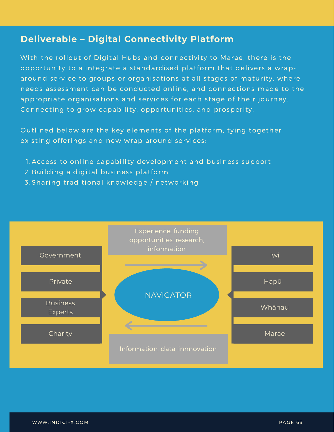#### **Deliverable – Digital Connectivity Platform**

With the rollout of Digital Hubs and connectivity to Marae, there is the opportunity to a integrate a standardised platform that delivers a wraparound service to groups or organisations at all stages of maturity, where needs assessment can be conducted online, and connections made to the appropriate organisations and services for each stage of their journey. Connecting to grow capability, opportunities, and prosperity.

Outlined below are the key elements of the platform, tying together existing offerings and new wrap around services:

- 1. Access to online capability development and business support
- 2. Building a digital business platform
- 3.Sharing traditional knowledge / networking

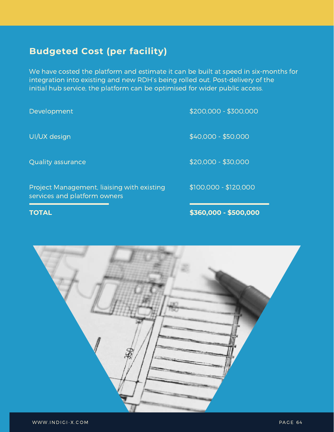### **Budgeted Cost (per facility)**

We have costed the platform and estimate it can be built at speed in six-months for integration into existing and new RDH's being rolled out. Post-delivery of the initial hub service, the platform can be optimised for wider public access.

\$200,000 - \$300,000 \$40,000 - \$50,000 \$20,000 - \$30,000 \$100,000 - \$120,000 Development UI/UX design Quality assurance Project Management, liaising with existing services and platform owners

**TOTAL**

**\$360,000 - \$500,000**